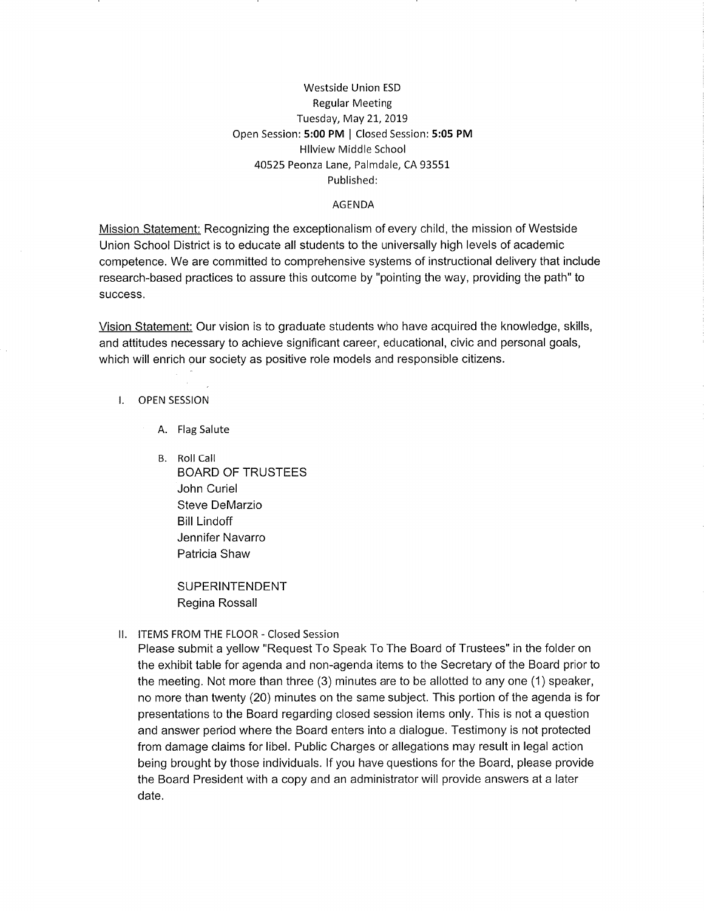### Westside Union ESD Regular Meeting Tuesday, May 21, 2019 Open Session: 5:00 PM | Closed Session: 5:05 PM Hllview Middle School 40525 Peonza Lane, Palmdale, CA 93551 Published:

#### AGENDA

Mission Statement: Recognizing the exceptionalism of every child, the mission of Westside Union School District is to educate all students to the universally high levels of academic competence. We are committed to comprehensive systems of instructional delivery that include research-based practices to assure this outcome by "pointing the way, providing the path" to success.

Vision Statement: Our vision is to graduate students who have acquired the knowledge, skills, and attitudes necessary to achieve significant career, educational, civic and personal goals, which will enrich our society as positive role models and responsible citizens.

#### I. OPEN SESSION

A. Flag Salute

B. Roll Call BOARD OF TRUSTEES John Curiel Steve DeMarzio Bill Lindoff Jennifer Navarro Patricia Shaw

> SUPERINTENDENT Regina Rossall

#### ll. ITEMS FROM THE FLOOR - Closed Session

Please submit a yellow "Request To Speak To The Board of Trustees" in the folder on the exhibit table for agenda and non-agenda items to the Secretary of the Board prior to the meeting. Not more than three  $(3)$  minutes are to be allotted to any one  $(1)$  speaker, no more than twenty (20) minutes on the same subject. This portion of the agenda is for presentations to the Board regarding closed session items only. This is not a question and answer period where the Board enters into a dialogue. Testimony is not protected from damage claims for libel. Public Charges or allegations may result in legal action being brought by those individuals. lf you have questions for the Board, please provide the Board President with a copy and an administrator will provide answers at a later date.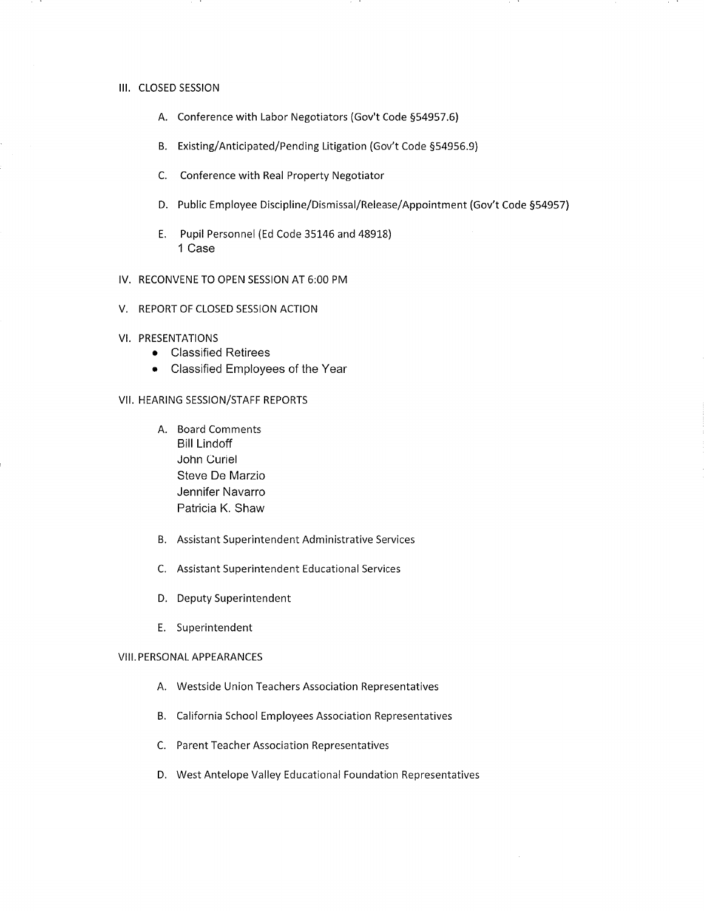#### III. CLOSED SESSION

- A. Conference with Labor Negotiators (Gov't Code 554957,6)
- B. Existing/Anticipated/Pending Litigation (Gov't Code 554956,9)
- C. Conference with Real Property Negotiator
- D. Public Employee Discipline/Dismissal/Release/Appointment (Gov't Code 554957)
- E. Pupil Personnel (Ed Code 35146 and 48918) 1 Case
- lV. RECONVENE TO OPEN SESSION AT 6:00 PM
- V. REPORT OF CLOSED SESSION ACTION

#### VI. PRESENTATIONS

- **•** Classified Retirees
- Classified Employees of the Year

#### VII. HEARING SESSION/STAFF REPORTS

- A. Board Comments Bill Lindoff John Curiel Steve De Marzio Jennifer Navarro Patricia K. Shaw
- B. Assistant Superintendent Administrative Services
- Assistant Superintendent Educational Services C
- D. Deputy Superintendent
- E. Superintendent

#### VIII. PERSONAL APPEARANCES

- A. Westside Union Teachers Association Representatives
- B. California School Employees Association Representatives
- C. Parent Teacher Association Representatives
- D. West Antelope Valley Educational Foundation Representatives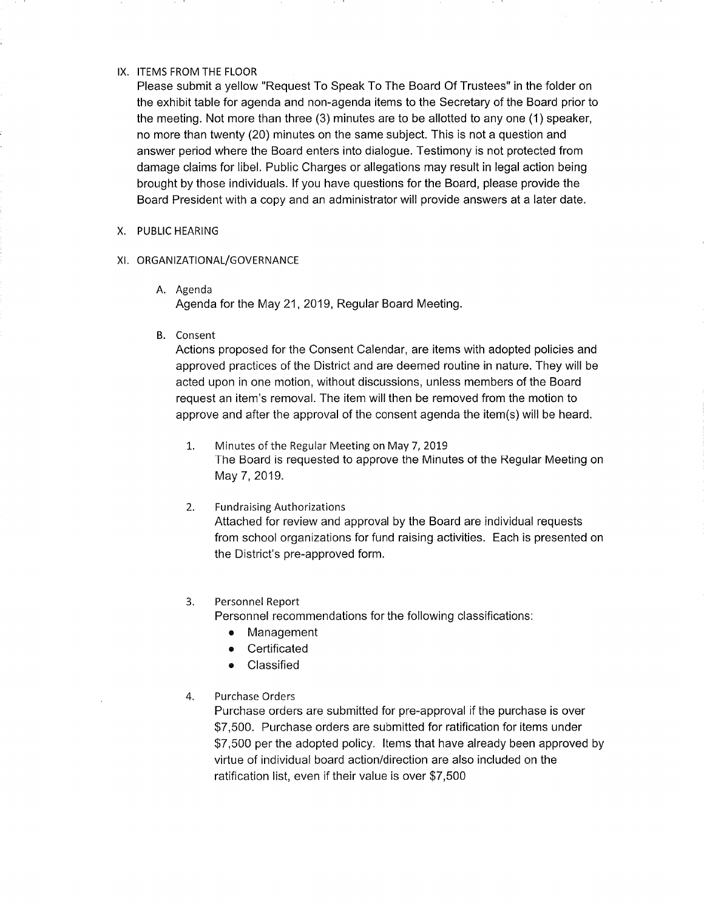#### IX. ITEMS FROM THE FLOOR

Please submit a yellow "Request To Speak To The Board Of Trustees" in the folder on the exhibit table for agenda and non-agenda items to the Secretary of the Board prior to the meeting. Not more than three (3) minutes are to be allotted to any one (1) speaker, no more than twenty (20) minutes on the same subject. This is not a question and answer period where the Board enters into dialogue. Testimony is not protected from damage claims for libel. Public Charges or allegations may result in legal action being brought by those individuals. lf you have questions for the Board, please provide the Board President with a copy and an administrator will provide answers at a later date.

#### X. PUBLIC HEARING

#### XI. ORGANIZATIONAL/GOVERNANCE

- A. Agenda Agenda for the May 21, 2019, Regular Board Meeting.
- B. Consent

Actions proposed for the Consent Calendar, are items with adopted policies and approved practices of the District and are deemed routine in nature. They will be acted upon in one motion, without discussions, unless members of the Board request an item's removal. The item will then be removed from the motion to approve and after the approval of the consent agenda the item(s)will be heard.

- Minutes of the Regular Meeting on May 7, 2019 The Board is requested to approve the Minutes of the Regular Meeting on May 7, 2019. 1..
- Fundraising Authorizations Attached for review and approval by the Board are individual requests from school organizations for fund raising activities. Each is presented on the District's pre-approved form. 2.

#### Personnel Report 3.

Personnel recommendations for the following classifications

- Management
- **•** Certificated
- Classified

### 4. Purchase Orders

Purchase orders are submitted for pre-approval if the purchase is over \$7,500. Purchase orders are submitted for ratification for items under \$7,500 per the adopted policy. ltems that have already been approved by virtue of individual board action/direction are also included on the ratification list, even if their value is over \$7,500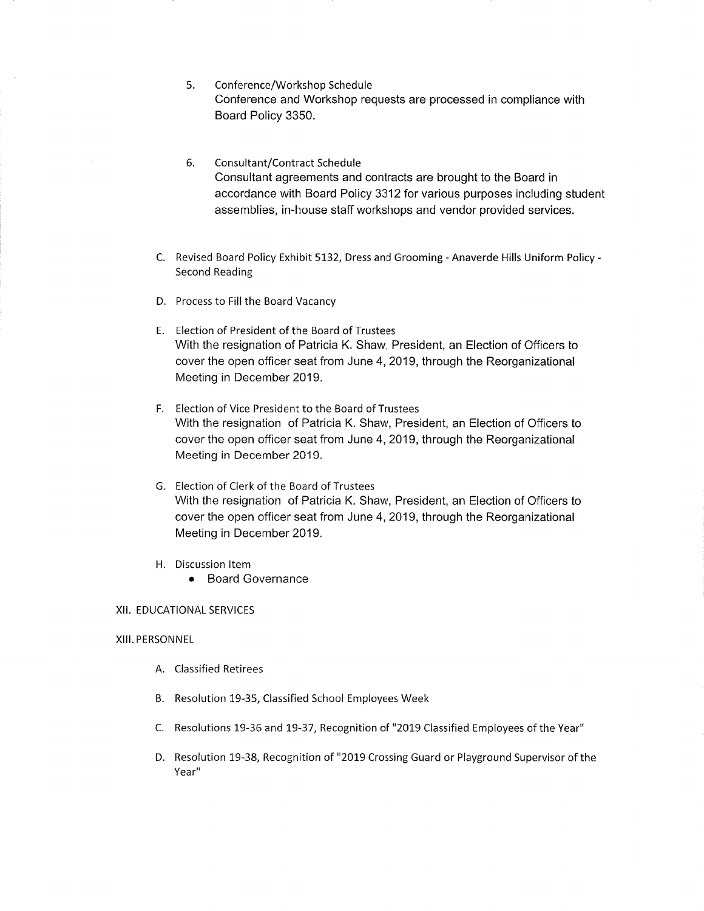- Conference/Workshop Schedule Conference and Workshop requests are processed in compliance with Board Policy 3350. 5.
- Consultant/Contract Schedule Consultant agreements and contracts are brought to the Board in accordance with Board Policy 3312 for various purposes including student assemblies, in-house staff workshops and vendor provided services. 6.
- C. Revised Board Policy Exhibit 5132, Dress and Grooming Anaverde Hills Uniform Policy Second Reading
- D. Process to Fill the Board Vacancy
- E. Election of President of the Board of Trustees With the resignation of Patricia K. Shaw, President, an Election of Officers to cover the open officer seat from June 4, 2019, through the Reorganizational Meeting in December 2019.
- F. Election of Vice President to the Board of Trustees With the resignation of Patricia K. Shaw, President, an Election of Officers to cover the open officer seat from June 4, 2019, through the Reorganizational Meeting in December 2019.
- G. Election of Clerk of the Board of Trustees With the resignation of Patricia K. Shaw, President, an Election of Officers to cover the open officer seat from June 4, 2019, through the Reorganizational Meeting in December 2019.
- H. Discussion ltem
	- Board Governance

#### XII. EDUCATIONAL SERVICES

#### XIII. PERSONNEL

- A. Classified Retirees
- B. Resolution 19-35, Classified School Employees Week
- C. Resolutions 19-36 and 19-37, Recognition of "2019 Classified Employees of the Year"
- D. Resolution 19-38, Recognition of "2019 Crossing Guard or Playground Supervisor of the Year"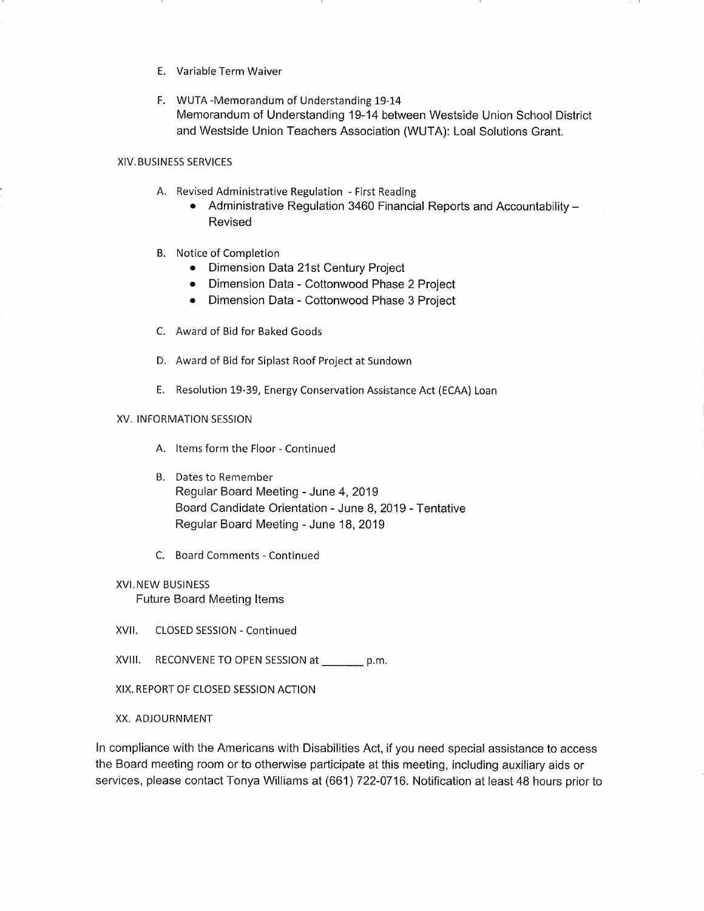- E. Variable Term Waiver
- F. WUTA -Memorandum of Understanding 19-14 Memorandum of Understanding 19-14 between Westside Union School District and Westside Union Teachers Association (WUTA): Loal Solutions Grant.

#### XIV. BUSINESS SERVICES

- A. Revised Administrative Regulation First Reading
	- Administrative Regulation 3460 Financial Reports and Accountability -Revised
- B. Notice of Completion
	- Dimension Data 21st Century Project
	- o Dimension Data Cottonwood Phase 2 Project
	- Dimension Data Cottonwood Phase 3 Project
- C. Award of Bid for Baked Goods
- D. Award of Bid for Siplast Roof Project at Sundown
- E. Resolution 19-39, Energy Conservation Assistance Act (ECAA) Loan

#### XV. INFORMATION SESSION

- A. ltems form the Floor Continued
- B. Dates to Remember Regular Board Meeting - June 4,2019 Board Candidate Orientation - June 8,2019 - Tentative Regular Board Meeting - June 18,2019
- C. Board Comments Continued

### XVI.NEW BUSINESS

Future Board Meeting ltems

- XVll. CLOSED SESSION Continued
- XVIII. RECONVENE TO OPEN SESSION at \_\_\_\_\_\_\_ p.m
- XIX. REPORT OF CLOSED SESSION ACTION

#### XX. ADJOURNMENT

ln compliance with the Americans with Disabilities Act, if you need special assistance to access the Board meeting room or to otherwise participate at this meeting, including auxiliary aids or services, please contact Tonya Williams at (661) 722-0716. Notification at least 48 hours prior to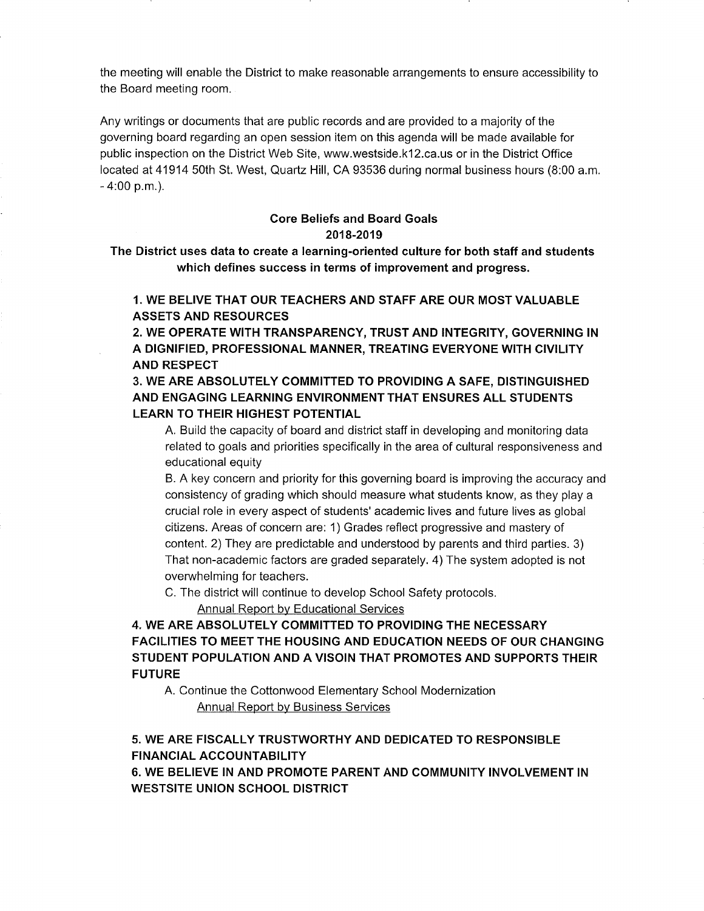the meeting will enable the District to make reasonable arrangements to ensure accessibility to the Board meeting room.

Any writings or documents that are public records and are provided to a majority of the governing board regarding an open session item on this agenda will be made available for public inspection on the District Web Site, www.westside.kl2.ca.us or in the District Office located at 41914 50th St. West, Quartz Hill, CA 93536 during normal business hours (8:00 a.m. - 4:00 p.m.).

# Core Beliefs and Board Goals 2018-2019

The District uses data to create a learning-oriented culture for both staff and students which defines success in terms of improvement and progress.

# 1. WE BELIVE THAT OUR TEACHERS AND STAFF ARE OUR MOST VALUABLE ASSETS AND RESOURCES

2. WE OPERATE WITH TRANSPARENCY, TRUST AND INTEGRITY, GOVERNING IN A DIGNIFIED, PROFESSIONAL MANNER, TREATING EVERYONE WITH CIVILITY AND RESPECT

3. WE ARE ABSOLUTELY COMMITTED TO PROVIDING A SAFE, DISTINGUISHED AND ENGAGING LEARNING ENVIRONMENT THAT ENSURES ALL STUDENTS LEARN TO THEIR HIGHEST POTENTIAL

A. Build the capacity of board and district staff in developing and monitoring data related to goals and priorities specifically in the area of cultural responsiveness and educational equity

B. A key concern and priority for this governing board is improving the accuracy and consistency of grading which should measure what students know, as they play a crucial role in every aspect of students' academic lives and future lives as global citizens. Areas of concern are: 1) Grades reflect progressive and mastery of content. 2) They are predictable and understood by parents and third parties. 3) That non-academic factors are graded separately. 4) The system adopted is not overwhelming for teachers.

C. The district will continue to develop School Safety protocols.

Annual Report by Educational Services

# 4. WE ARE ABSOLUTELY COMMITTED TO PROVIDING THE NECESSARY FACILITIES TO MEET THE HOUSING AND EDUCATION NEEDS OF OUR CHANGING STUDENT POPULATION AND A VISOIN THAT PROMOTES AND SUPPORTS THEIR FUTURE

A. Continue the Cottonwood Elementary School Modernization Annual Report by Business Services

# 5. WE ARE FISCALLY TRUSTWORTHY AND DEDICATED TO RESPONSIBLE **FINANCIAL ACCOUNTABILITY**

6. WE BELIEVE IN AND PROMOTE PARENT AND COMMUNITY INVOLVEMENT IN WESTSITE UNION SCHOOL DISTRICT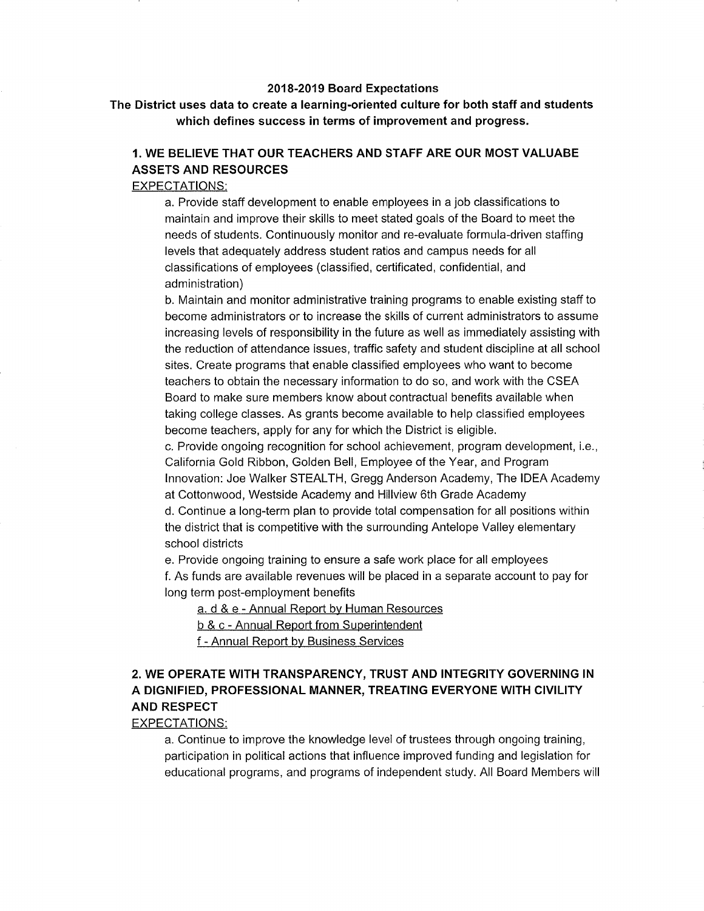#### 2018-2019 Board Expectations

The District uses data to create a learning-oriented culture for both staff and students which defines success in terms of improvement and progress.

# 1. WE BELIEVE THAT OUR TEACHERS AND STAFF ARE OUR MOST VALUABE ASSETS AND RESOURCES

### EXPECTATIONS:

a. Provide staff development to enable employees in a job classifications to maintain and improve their skills to meet stated goals of the Board to meet the needs of students. Continuously monitor and re-evaluate formula-driven staffing levels that adequately address student ratios and campus needs for all classifications of employees (classified, certificated, confidential, and administration)

b. Maintain and monitor administrative training programs to enable existing staff to become administrators or to increase the skills of current administrators to assume increasing levels of responsibility in the future as well as immediately assisting with the reduction of attendance issues, traffic safety and student discipline at all school sites. Create programs that enable classified employees who want to become teachers to obtain the necessary information to do so, and work with the CSEA Board to make sure members know about contractual benefits available when taking college classes. As grants become available to help classified employees become teachers, apply for any for which the District is eligible.

c. Provide ongoing recognition for school achievement, program development, i.e., California Gold Ribbon, Golden Bell, Employee of the Year, and Program lnnovation: Joe Walker STEALTH, Gregg Anderson Academy, The IDEA Academy at Cottonwood, Westside Academy and Hillview ôth Grade Academy d. Continue a long-term plan to provide total compensation for all positions within the district that is competitive with the surrounding Antelope Valley elementary school districts

e. Provide ongoing training to ensure a safe work place for all employees f. As funds are available revenues will be placed in a separate account to pay for long term post-employment benefits

a. d & e - Annual Report by Human Resources

b & c - Annual Report from Superintendent

f - Annual Report by Business Services

# 2. WE OPERATE WITH TRANSPARENCY, TRUST AND INTEGRITY GOVERNING IN A DIGNIFIED, PROFESSIONAL MANNER, TREATING EVERYONE WITH CIVILITY AND RESPECT

### EXPECTATIONS:

a. Continue to improve the knowledge level of trustees through ongoing training, participation in political actions that influence improved funding and legislation for educational programs, and programs of independent study. All Board Members will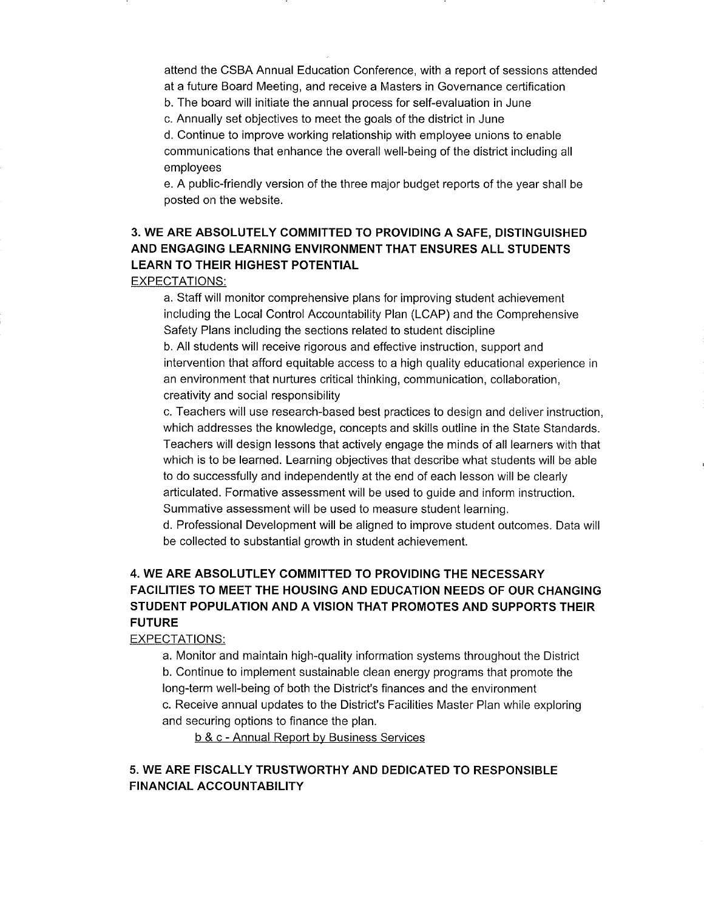attend the CSBA Annual Education Conference, with a report of sessions attended at a future Board Meeting, and receive a Masters in Governance certification

b. The board will initiate the annual process for self-evaluation in June

c. Annually set objectives to meet the goals of the district in June

d. Continue to improve working relationship with employee unions to enable communications that enhance the overall well-being of the district including all employees

e. A public-friendly version of the three major budget reports of the year shall be posted on the website.

# 3. WE ARE ABSOLUTELY COMMITTED TO PROVIDING A SAFE, DISTINGUISHED AND ENGAGING LEARNING ENVIRONMENT THAT ENSURES ALL STUDENTS LEARN TO THEIR HIGHEST POTENTIAL

EXPECTATIONS:

a. Staff will monitor comprehensive plans for improving student achievement including the Local Control Accountability Plan (LCAP) and the Comprehensive Safety Plans including the sections related to student discipline

b. All students will receive rigorous and effective instruction, support and intervention that afford equitable access to a high quality educational experience in an environment that nurtures critical thinking, communication, collaboration, creativity and social responsibility

c. Teachers will use research-based best practices to design and deliver instruction, which addresses the knowledge, concepts and skills outline in the State Standards. Teachers will design lessons that actively engage the minds of all learners with that which is to be learned. Learning objectives that describe what students will be able to do successfully and independently at the end of each lesson will be clearly articulated. Formative assessment will be used to guide and inform instruction. Summative assessment will be used to measure student learning.

d. Professional Development will be aligned to improve student outcomes. Data will be collected to substantial growth in student achievement.

# 4. WE ARE ABSOLUTLEY COMMITTED TO PROVIDING THE NECESSARY FACILITIES TO MEET THE HOUSING AND EDUCATION NEEDS OF OUR CHANGING STUDENT POPULATION AND A VISION THAT PROMOTES AND SUPPORTS THEIR FUTURE

EXPECTATIONS:

a. Monitor and maintain high-quality information systems throughout the District b. Continue to implement sustainable clean energy programs that promote the long-term well-being of both the District's finances and the environment c. Receive annual updates to the District's Facilities Master Plan while exploring and securing options to finance the plan.

b & c - Annual Reoort bv Business Services

### 5. WE ARE FISCALLY TRUSTWORTHY AND DEDICATED TO RESPONSIBLE FINANCIAL ACCOUNTABILITY